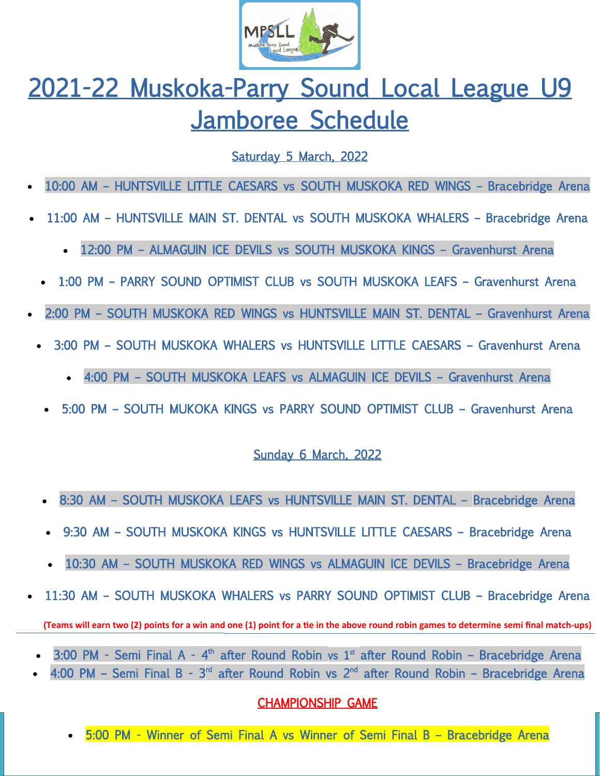

# 2021-22 Muskoka-Parry Sound Local League U9 Jamboree Schedule

### Saturday 5 March, 2022

- 10:00 AM HUNTSVILLE LITTLE CAESARS vs SOUTH MUSKOKA RED WINGS Bracebridge Arena
- 11:00 AM HUNTSVILLE MAIN ST. DENTAL vs SOUTH MUSKOKA WHALERS Bracebridge Arena
	- 12:00 PM ALMAGUIN ICE DEVILS vs SOUTH MUSKOKA KINGS Gravenhurst Arena
	- 1:00 PM PARRY SOUND OPTIMIST CLUB vs SOUTH MUSKOKA LEAFS Gravenhurst Arena
- 2:00 PM SOUTH MUSKOKA RED WINGS vs HUNTSVILLE MAIN ST. DENTAL Gravenhurst Arena
	- 3:00 PM SOUTH MUSKOKA WHALERS vs HUNTSVILLE LITTLE CAESARS Gravenhurst Arena
		- 4:00 PM SOUTH MUSKOKA LEAFS vs ALMAGUIN ICE DEVILS Gravenhurst Arena
		- 5:00 PM SOUTH MUKOKA KINGS vs PARRY SOUND OPTIMIST CLUB Gravenhurst Arena

#### Sunday 6 March, 2022

- 8:30 AM SOUTH MUSKOKA LEAFS vs HUNTSVILLE MAIN ST. DENTAL Bracebridge Arena
- 9:30 AM SOUTH MUSKOKA KINGS vs HUNTSVILLE LITTLE CAESARS Bracebridge Arena
- 10:30 AM SOUTH MUSKOKA RED WINGS vs ALMAGUIN ICE DEVILS Bracebridge Arena
- 11:30 AM SOUTH MUSKOKA WHALERS vs PARRY SOUND OPTIMIST CLUB Bracebridge Arena **(Teams will earn two (2) points for a win and one (1) point for a tie in the above round robin games to determine semi final match-ups)**
	- 3:00 PM Semi Final A  $4<sup>th</sup>$  after Round Robin vs 1<sup>st</sup> after Round Robin Bracebridge Arena
	- 4:00 PM Semi Final B 3<sup>rd</sup> after Round Robin vs 2<sup>nd</sup> after Round Robin Bracebridge Arena

#### CHAMPIONSHIP GAME

5:00 PM - Winner of Semi Final A vs Winner of Semi Final B – Bracebridge Arena